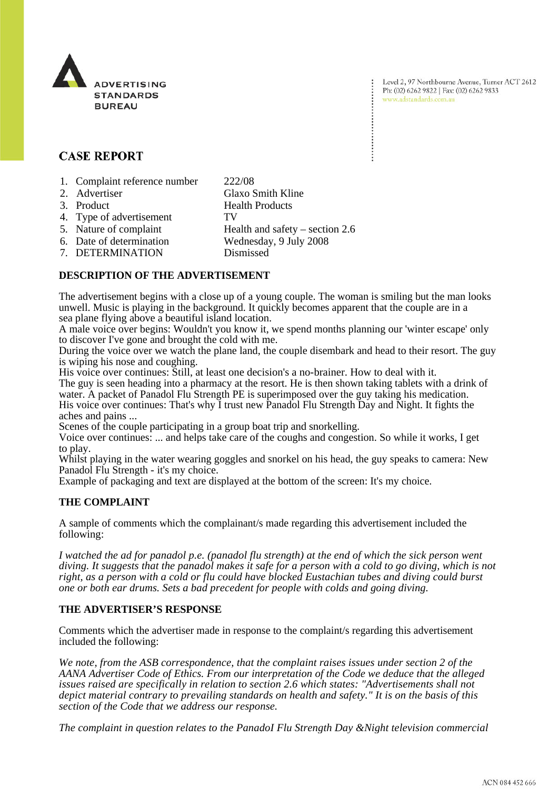

Level 2, 97 Northbourne Avenue, Turner ACT 2612 Ph: (02) 6262 9822 | Fax: (02) 6262 9833 www.adstandards.com.au

# **CASE REPORT**

- 1. Complaint reference number 222/08
- 2. Advertiser Glaxo Smith Kline 3. Product Health Products 4. Type of advertisement TV 5. Nature of complaint Health and safety – section 2.6 6. Date of determination Wednesday, 9 July 2008 7. DETERMINATION Dismissed

## **DESCRIPTION OF THE ADVERTISEMENT**

The advertisement begins with a close up of a young couple. The woman is smiling but the man looks unwell. Music is playing in the background. It quickly becomes apparent that the couple are in a sea plane flying above a beautiful island location.

A male voice over begins: Wouldn't you know it, we spend months planning our 'winter escape' only to discover I've gone and brought the cold with me.

During the voice over we watch the plane land, the couple disembark and head to their resort. The guy is wiping his nose and coughing.

His voice over continues: Still, at least one decision's a no-brainer. How to deal with it.

The guy is seen heading into a pharmacy at the resort. He is then shown taking tablets with a drink of water. A packet of Panadol Flu Strength PE is superimposed over the guy taking his medication. His voice over continues: That's why I trust new Panadol Flu Strength Day and Night. It fights the aches and pains ...

Scenes of the couple participating in a group boat trip and snorkelling.

Voice over continues: ... and helps take care of the coughs and congestion. So while it works, I get to play.

Whilst playing in the water wearing goggles and snorkel on his head, the guy speaks to camera: New Panadol Flu Strength - it's my choice.

Example of packaging and text are displayed at the bottom of the screen: It's my choice.

## **THE COMPLAINT**

A sample of comments which the complainant/s made regarding this advertisement included the following:

*I watched the ad for panadol p.e. (panadol flu strength) at the end of which the sick person went diving. It suggests that the panadol makes it safe for a person with a cold to go diving, which is not right, as a person with a cold or flu could have blocked Eustachian tubes and diving could burst one or both ear drums. Sets a bad precedent for people with colds and going diving.*

## **THE ADVERTISER'S RESPONSE**

Comments which the advertiser made in response to the complaint/s regarding this advertisement included the following:

*We note, from the ASB correspondence, that the complaint raises issues under section 2 of the AANA Advertiser Code of Ethics. From our interpretation of the Code we deduce that the alleged issues raised are specifically in relation to section 2.6 which states: "Advertisements shall not depict material contrary to prevailing standards on health and safety." It is on the basis of this section of the Code that we address our response.*

*The complaint in question relates to the PanadoI Flu Strength Day &Night television commercial*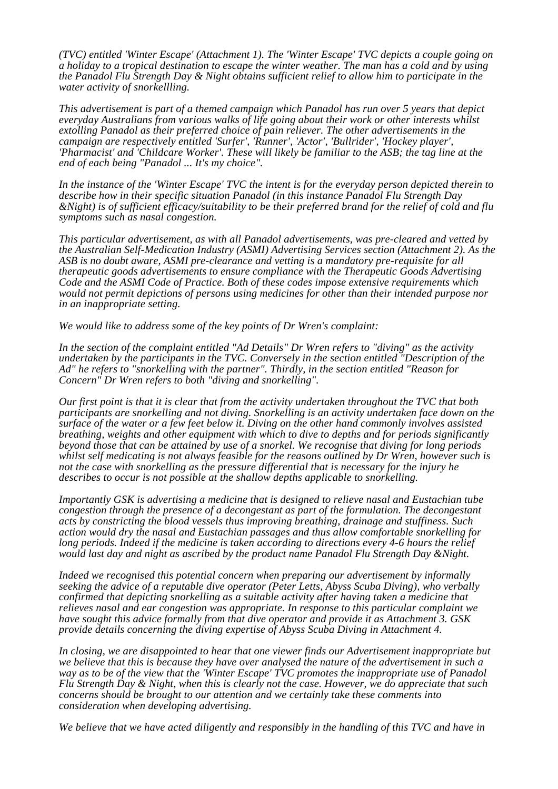*(TVC) entitled 'Winter Escape' (Attachment 1). The 'Winter Escape' TVC depicts a couple going on a holiday to a tropical destination to escape the winter weather. The man has a cold and by using the Panadol Flu Strength Day & Night obtains sufficient relief to allow him to participate in the water activity of snorkellling.*

*This advertisement is part of a themed campaign which Panadol has run over 5 years that depict everyday Australians from various walks of life going about their work or other interests whilst extolling Panadol as their preferred choice of pain reliever. The other advertisements in the campaign are respectively entitled 'Surfer', 'Runner', 'Actor', 'Bullrider', 'Hockey player', 'Pharmacist' and 'Childcare Worker'. These will likely be familiar to the ASB; the tag line at the end of each being "Panadol ... It's my choice".*

*In the instance of the 'Winter Escape' TVC the intent is for the everyday person depicted therein to describe how in their specific situation Panadol (in this instance Panadol Flu Strength Day &Night) is of sufficient efficacy/suitability to be their preferred brand for the relief of cold and flu symptoms such as nasal congestion.*

*This particular advertisement, as with all Panadol advertisements, was pre-cleared and vetted by the Australian Self-Medication Industry (ASMI) Advertising Services section (Attachment 2). As the ASB is no doubt aware, ASMI pre-clearance and vetting is a mandatory pre-requisite for all therapeutic goods advertisements to ensure compliance with the Therapeutic Goods Advertising Code and the ASMI Code of Practice. Both of these codes impose extensive requirements which would not permit depictions of persons using medicines for other than their intended purpose nor in an inappropriate setting.*

*We would like to address some of the key points of Dr Wren's complaint:*

*In the section of the complaint entitled "Ad Details" Dr Wren refers to "diving" as the activity undertaken by the participants in the TVC. Conversely in the section entitled "Description of the Ad" he refers to "snorkelling with the partner". Thirdly, in the section entitled "Reason for Concern" Dr Wren refers to both "diving and snorkelling".*

*Our first point is that it is clear that from the activity undertaken throughout the TVC that both participants are snorkelling and not diving. Snorkelling is an activity undertaken face down on the surface of the water or a few feet below it. Diving on the other hand commonly involves assisted breathing, weights and other equipment with which to dive to depths and for periods significantly beyond those that can be attained by use of a snorkel. We recognise that diving for long periods whilst self medicating is not always feasible for the reasons outlined by Dr Wren, however such is not the case with snorkelling as the pressure differential that is necessary for the injury he describes to occur is not possible at the shallow depths applicable to snorkelling.*

*Importantly GSK is advertising a medicine that is designed to relieve nasal and Eustachian tube congestion through the presence of a decongestant as part of the formulation. The decongestant acts by constricting the blood vessels thus improving breathing, drainage and stuffiness. Such action would dry the nasal and Eustachian passages and thus allow comfortable snorkelling for long periods. Indeed if the medicine is taken according to directions every 4-6 hours the relief would last day and night as ascribed by the product name Panadol Flu Strength Day &Night.*

*Indeed we recognised this potential concern when preparing our advertisement by informally seeking the advice of a reputable dive operator (Peter Letts, Abyss Scuba Diving), who verbally confirmed that depicting snorkelling as a suitable activity after having taken a medicine that relieves nasal and ear congestion was appropriate. In response to this particular complaint we have sought this advice formally from that dive operator and provide it as Attachment 3. GSK provide details concerning the diving expertise of Abyss Scuba Diving in Attachment 4.*

*In closing, we are disappointed to hear that one viewer finds our Advertisement inappropriate but we believe that this is because they have over analysed the nature of the advertisement in such a way as to be of the view that the 'Winter Escape' TVC promotes the inappropriate use of Panadol Flu Strength Day & Night, when this is clearly not the case. However, we do appreciate that such concerns should be brought to our attention and we certainly take these comments into consideration when developing advertising.*

*We believe that we have acted diligently and responsibly in the handling of this TVC and have in*